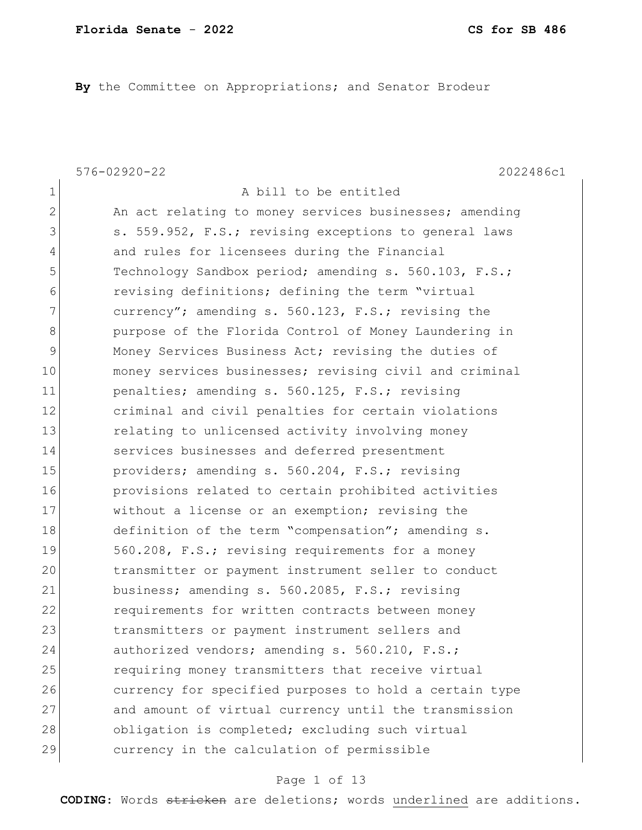**By** the Committee on Appropriations; and Senator Brodeur

576-02920-22 2022486c1 1 A bill to be entitled 2 An act relating to money services businesses; amending 3 S. 559.952, F.S.; revising exceptions to general laws 4 and rules for licensees during the Financial 5 Technology Sandbox period; amending s. 560.103, F.S.; 6 revising definitions; defining the term "virtual 7 currency"; amending s. 560.123, F.S.; revising the 8 **purpose of the Florida Control of Money Laundering in** 9 Money Services Business Act; revising the duties of 10 money services businesses; revising civil and criminal 11 penalties; amending s. 560.125, F.S.; revising 12 criminal and civil penalties for certain violations 13 relating to unlicensed activity involving money 14 services businesses and deferred presentment 15 providers; amending s. 560.204, F.S.; revising 16 provisions related to certain prohibited activities 17 Without a license or an exemption; revising the 18 definition of the term "compensation"; amending s. 19 560.208, F.S.; revising requirements for a money 20 transmitter or payment instrument seller to conduct 21 business; amending s. 560.2085, F.S.; revising 22 **requirements for written contracts between money** 23 transmitters or payment instrument sellers and 24 authorized vendors; amending s. 560.210, F.S.; 25 requiring money transmitters that receive virtual 26 currency for specified purposes to hold a certain type 27 and amount of virtual currency until the transmission 28 obligation is completed; excluding such virtual 29 currency in the calculation of permissible

## Page 1 of 13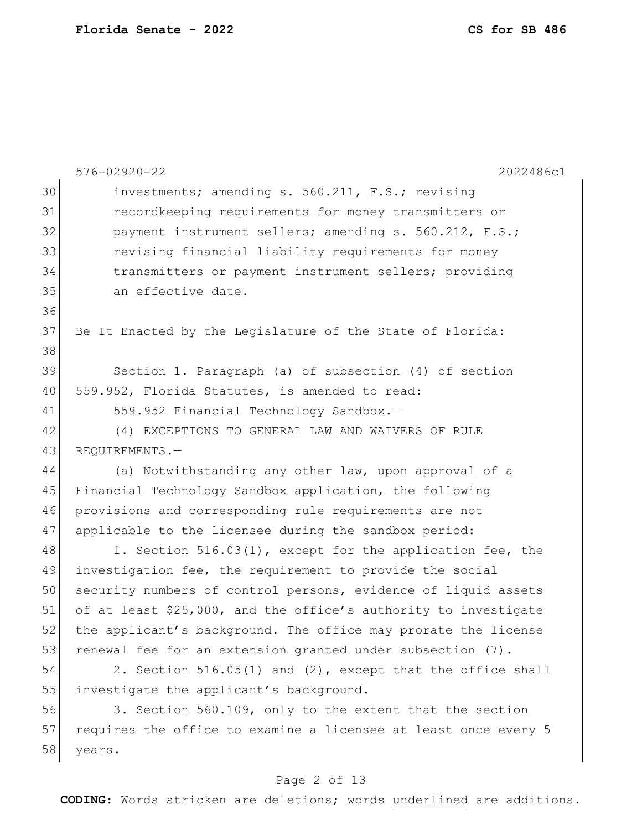|    | $576 - 02920 - 22$<br>2022486c1                                 |
|----|-----------------------------------------------------------------|
| 30 | investments; amending s. 560.211, F.S.; revising                |
| 31 | recordkeeping requirements for money transmitters or            |
| 32 | payment instrument sellers; amending s. 560.212, F.S.;          |
| 33 | revising financial liability requirements for money             |
| 34 | transmitters or payment instrument sellers; providing           |
| 35 | an effective date.                                              |
| 36 |                                                                 |
| 37 | Be It Enacted by the Legislature of the State of Florida:       |
| 38 |                                                                 |
| 39 | Section 1. Paragraph (a) of subsection (4) of section           |
| 40 | 559.952, Florida Statutes, is amended to read:                  |
| 41 | 559.952 Financial Technology Sandbox.-                          |
| 42 | (4) EXCEPTIONS TO GENERAL LAW AND WAIVERS OF RULE               |
| 43 | REQUIREMENTS.-                                                  |
| 44 | (a) Notwithstanding any other law, upon approval of a           |
| 45 | Financial Technology Sandbox application, the following         |
| 46 | provisions and corresponding rule requirements are not          |
| 47 | applicable to the licensee during the sandbox period:           |
| 48 | 1. Section 516.03(1), except for the application fee, the       |
| 49 | investigation fee, the requirement to provide the social        |
| 50 | security numbers of control persons, evidence of liquid assets  |
| 51 | of at least \$25,000, and the office's authority to investigate |
| 52 | the applicant's background. The office may prorate the license  |
| 53 | renewal fee for an extension granted under subsection (7).      |
| 54 | 2. Section 516.05(1) and (2), except that the office shall      |
| 55 | investigate the applicant's background.                         |
| 56 | 3. Section 560.109, only to the extent that the section         |
| 57 | requires the office to examine a licensee at least once every 5 |
| 58 | years.                                                          |

# Page 2 of 13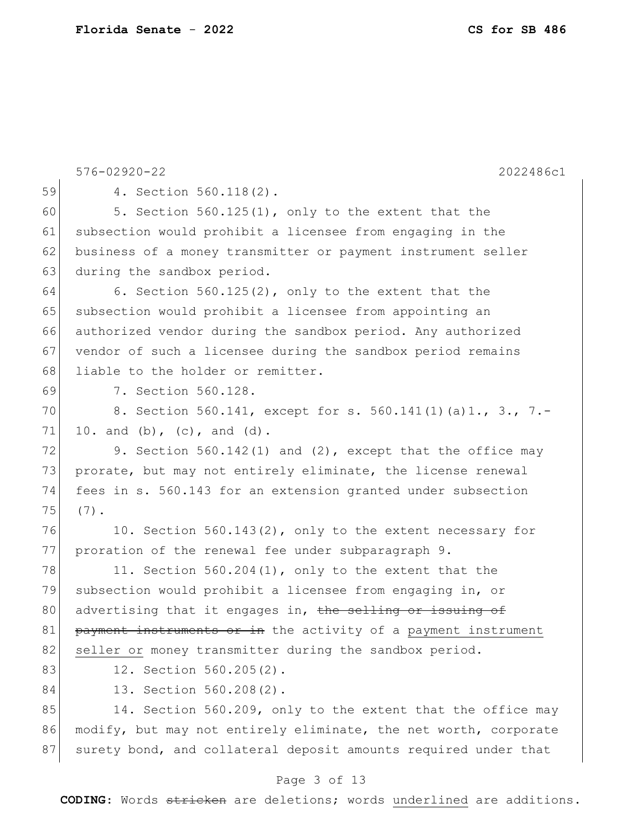|    | $576 - 02920 - 22$<br>2022486c1                                  |
|----|------------------------------------------------------------------|
| 59 | 4. Section 560.118(2).                                           |
| 60 | 5. Section 560.125(1), only to the extent that the               |
| 61 | subsection would prohibit a licensee from engaging in the        |
| 62 | business of a money transmitter or payment instrument seller     |
| 63 | during the sandbox period.                                       |
| 64 | 6. Section $560.125(2)$ , only to the extent that the            |
| 65 | subsection would prohibit a licensee from appointing an          |
| 66 | authorized vendor during the sandbox period. Any authorized      |
| 67 | vendor of such a licensee during the sandbox period remains      |
| 68 | liable to the holder or remitter.                                |
| 69 | 7. Section 560.128.                                              |
| 70 | 8. Section 560.141, except for s. 560.141(1)(a)1., 3., 7.-       |
| 71 | 10. and (b), (c), and (d).                                       |
| 72 | 9. Section 560.142(1) and (2), except that the office may        |
| 73 | prorate, but may not entirely eliminate, the license renewal     |
| 74 | fees in s. 560.143 for an extension granted under subsection     |
| 75 | $(7)$ .                                                          |
| 76 | 10. Section 560.143(2), only to the extent necessary for         |
| 77 | proration of the renewal fee under subparagraph 9.               |
| 78 | 11. Section 560.204(1), only to the extent that the              |
| 79 | subsection would prohibit a licensee from engaging in, or        |
| 80 | advertising that it engages in, the selling or issuing of        |
| 81 | payment instruments or in the activity of a payment instrument   |
| 82 | seller or money transmitter during the sandbox period.           |
| 83 | 12. Section 560.205(2).                                          |
| 84 | 13. Section 560.208(2).                                          |
| 85 | 14. Section 560.209, only to the extent that the office may      |
| 86 | modify, but may not entirely eliminate, the net worth, corporate |
| 87 | surety bond, and collateral deposit amounts required under that  |

# Page 3 of 13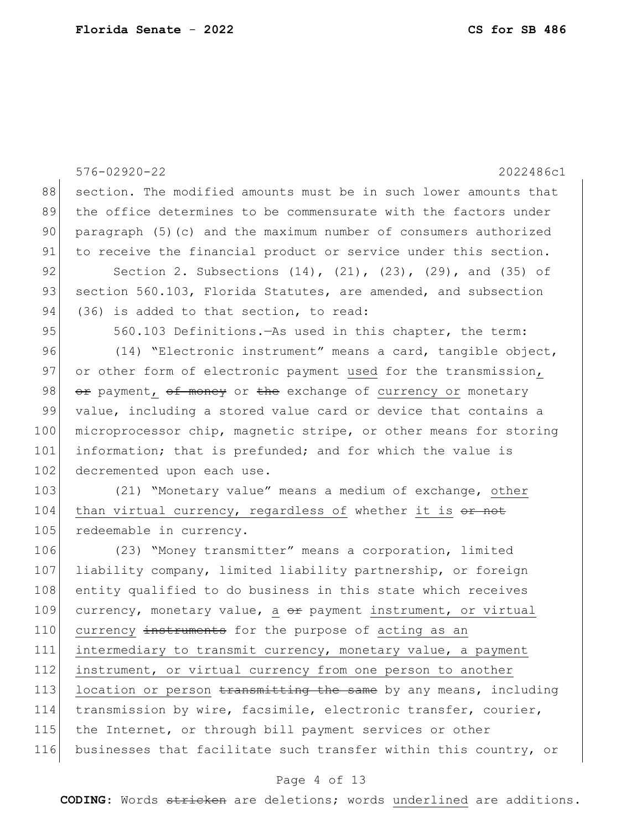|     | $576 - 02920 - 22$<br>2022486c1                                          |
|-----|--------------------------------------------------------------------------|
| 88  | section. The modified amounts must be in such lower amounts that         |
| 89  | the office determines to be commensurate with the factors under          |
| 90  | paragraph (5) (c) and the maximum number of consumers authorized         |
| 91  | to receive the financial product or service under this section.          |
| 92  | Section 2. Subsections $(14)$ , $(21)$ , $(23)$ , $(29)$ , and $(35)$ of |
| 93  | section 560.103, Florida Statutes, are amended, and subsection           |
| 94  | (36) is added to that section, to read:                                  |
| 95  | 560.103 Definitions. - As used in this chapter, the term:                |
| 96  | (14) "Electronic instrument" means a card, tangible object,              |
| 97  | or other form of electronic payment used for the transmission,           |
| 98  | or payment, of money or the exchange of currency or monetary             |
| 99  | value, including a stored value card or device that contains a           |
| 100 | microprocessor chip, magnetic stripe, or other means for storing         |
| 101 | information; that is prefunded; and for which the value is               |
| 102 | decremented upon each use.                                               |
| 103 | (21) "Monetary value" means a medium of exchange, other                  |
| 104 | than virtual currency, regardless of whether it is or not                |
| 105 | redeemable in currency.                                                  |
| 106 | (23) "Money transmitter" means a corporation, limited                    |
| 107 | liability company, limited liability partnership, or foreign             |
| 108 | entity qualified to do business in this state which receives             |
| 109 | currency, monetary value, a or payment instrument, or virtual            |
| 110 | currency instruments for the purpose of acting as an                     |
| 111 | intermediary to transmit currency, monetary value, a payment             |
| 112 | instrument, or virtual currency from one person to another               |
| 113 | location or person transmitting the same by any means, including         |
| 114 | transmission by wire, facsimile, electronic transfer, courier,           |
| 115 | the Internet, or through bill payment services or other                  |
| 116 | businesses that facilitate such transfer within this country, or         |

# Page 4 of 13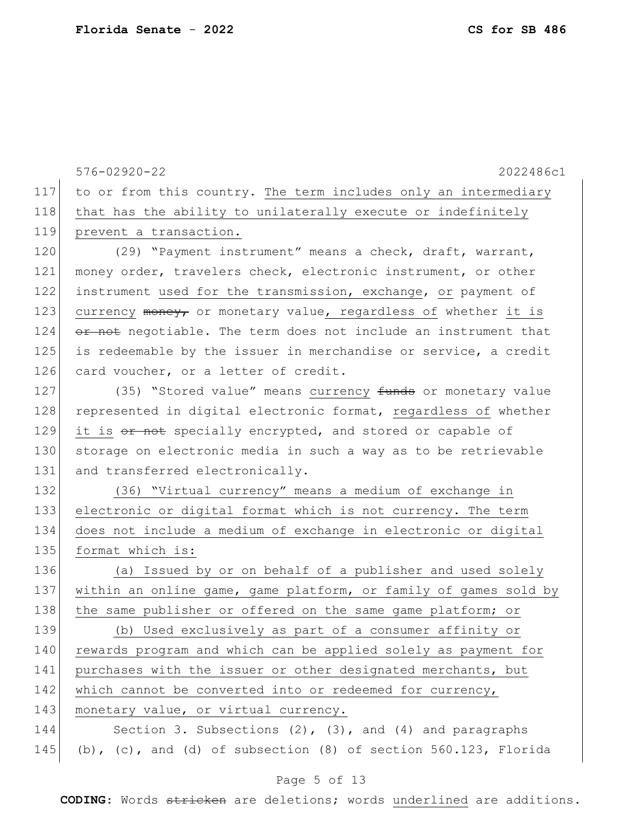576-02920-22 2022486c1 117 to or from this country. The term includes only an intermediary 118 that has the ability to unilaterally execute or indefinitely 119 prevent a transaction. 120 (29) "Payment instrument" means a check, draft, warrant, 121 money order, travelers check, electronic instrument, or other 122 instrument used for the transmission, exchange, or payment of 123 currency money, or monetary value, regardless of whether it is  $124$  or not negotiable. The term does not include an instrument that 125 is redeemable by the issuer in merchandise or service, a credit 126 card voucher, or a letter of credit. 127 (35) "Stored value" means currency funds or monetary value 128 represented in digital electronic format, regardless of whether 129 it is or not specially encrypted, and stored or capable of 130 storage on electronic media in such a way as to be retrievable 131 and transferred electronically. 132 (36) "Virtual currency" means a medium of exchange in 133 electronic or digital format which is not currency. The term 134 does not include a medium of exchange in electronic or digital 135 format which is: 136 (a) Issued by or on behalf of a publisher and used solely 137 within an online game, game platform, or family of games sold by 138 | the same publisher or offered on the same game platform; or 139 (b) Used exclusively as part of a consumer affinity or 140 rewards program and which can be applied solely as payment for 141 purchases with the issuer or other designated merchants, but 142 which cannot be converted into or redeemed for currency, 143 monetary value, or virtual currency. 144 Section 3. Subsections (2), (3), and (4) and paragraphs 145 (b), (c), and (d) of subsection (8) of section 560.123, Florida

## Page 5 of 13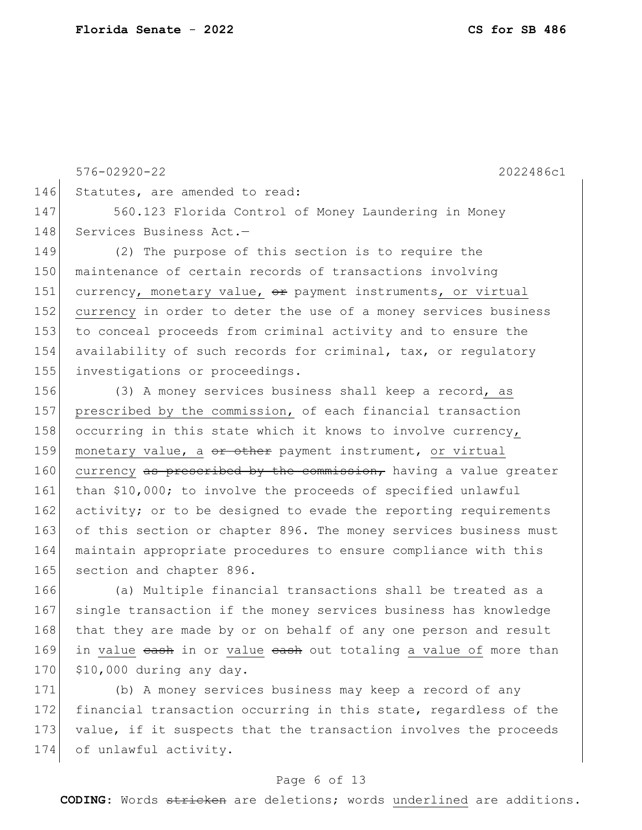576-02920-22 2022486c1 146 Statutes, are amended to read: 147 560.123 Florida Control of Money Laundering in Money 148 Services Business Act.-149 (2) The purpose of this section is to require the 150 maintenance of certain records of transactions involving 151 currency, monetary value,  $\theta$  payment instruments, or virtual 152 currency in order to deter the use of a money services business 153 to conceal proceeds from criminal activity and to ensure the 154 availability of such records for criminal, tax, or regulatory 155 investigations or proceedings. 156 (3) A money services business shall keep a record, as 157 prescribed by the commission, of each financial transaction 158 occurring in this state which it knows to involve currency, 159 monetary value, a or other payment instrument, or virtual 160 currency as prescribed by the commission, having a value greater

161 than \$10,000; to involve the proceeds of specified unlawful 162 activity; or to be designed to evade the reporting requirements 163 of this section or chapter 896. The money services business must 164 maintain appropriate procedures to ensure compliance with this 165 section and chapter 896.

166 (a) Multiple financial transactions shall be treated as a 167 single transaction if the money services business has knowledge 168 that they are made by or on behalf of any one person and result 169 in value eash in or value eash out totaling a value of more than 170 \$10,000 during any day.

171 (b) A money services business may keep a record of any 172 financial transaction occurring in this state, regardless of the 173 value, if it suspects that the transaction involves the proceeds 174 of unlawful activity.

## Page 6 of 13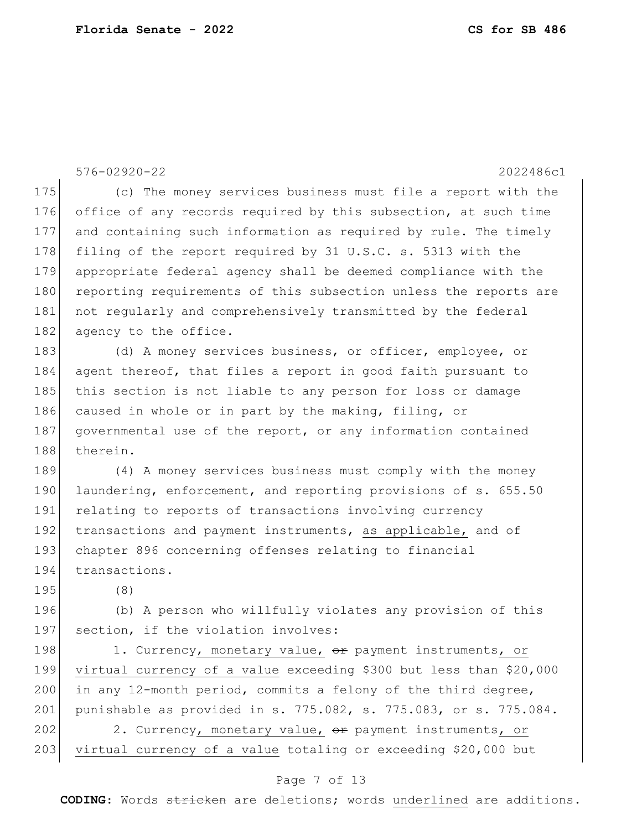|     | $576 - 02920 - 22$<br>2022486c1                                    |
|-----|--------------------------------------------------------------------|
| 175 | (c) The money services business must file a report with the        |
| 176 | office of any records required by this subsection, at such time    |
| 177 | and containing such information as required by rule. The timely    |
| 178 | filing of the report required by 31 U.S.C. s. 5313 with the        |
| 179 | appropriate federal agency shall be deemed compliance with the     |
| 180 | reporting requirements of this subsection unless the reports are   |
| 181 | not regularly and comprehensively transmitted by the federal       |
| 182 | agency to the office.                                              |
| 183 | (d) A money services business, or officer, employee, or            |
| 184 | agent thereof, that files a report in good faith pursuant to       |
| 185 | this section is not liable to any person for loss or damage        |
| 186 | caused in whole or in part by the making, filing, or               |
| 187 | governmental use of the report, or any information contained       |
| 188 | therein.                                                           |
| 189 | (4) A money services business must comply with the money           |
| 190 | laundering, enforcement, and reporting provisions of s. 655.50     |
| 191 | relating to reports of transactions involving currency             |
| 192 | transactions and payment instruments, as applicable, and of        |
| 193 | chapter 896 concerning offenses relating to financial              |
| 194 | transactions.                                                      |
| 195 | (8)                                                                |
| 196 | (b) A person who willfully violates any provision of this          |
| 197 | section, if the violation involves:                                |
| 198 | 1. Currency, monetary value, or payment instruments, or            |
| 199 | virtual currency of a value exceeding \$300 but less than \$20,000 |
| 200 | in any 12-month period, commits a felony of the third degree,      |
| 201 | punishable as provided in s. 775.082, s. 775.083, or s. 775.084.   |
| 202 | 2. Currency, monetary value, or payment instruments, or            |
| 203 | virtual currency of a value totaling or exceeding \$20,000 but     |

# Page 7 of 13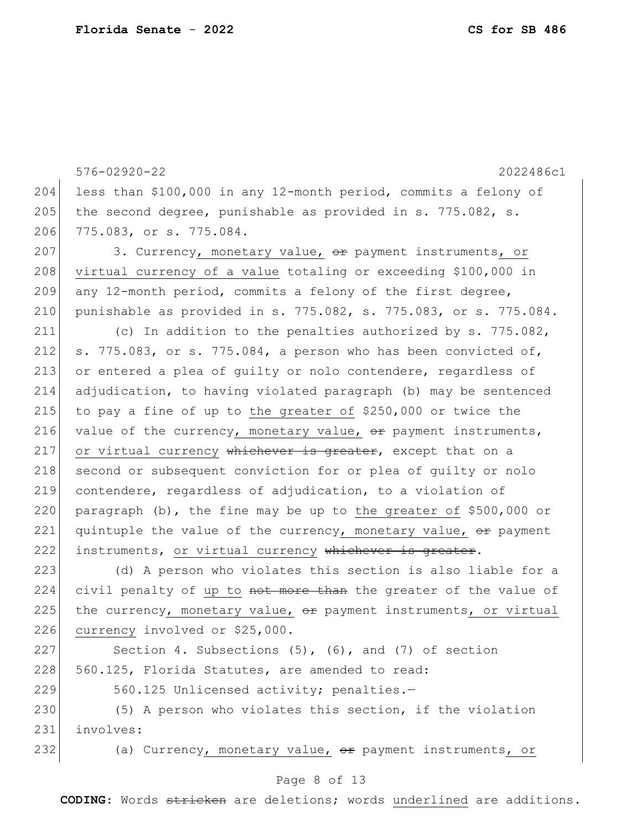576-02920-22 2022486c1 Page 8 of 13 204 less than \$100,000 in any 12-month period, commits a felony of 205 the second degree, punishable as provided in s. 775.082, s. 206 775.083, or s. 775.084.  $207$  3. Currency, monetary value,  $\theta$  payment instruments, or 208 virtual currency of a value totaling or exceeding \$100,000 in 209 any 12-month period, commits a felony of the first degree, 210 punishable as provided in s. 775.082, s. 775.083, or s. 775.084. 211 (c) In addition to the penalties authorized by s. 775.082, 212 s. 775.083, or s. 775.084, a person who has been convicted of, 213 or entered a plea of guilty or nolo contendere, regardless of 214 adjudication, to having violated paragraph (b) may be sentenced 215 to pay a fine of up to the greater of  $$250,000$  or twice the 216 value of the currency, monetary value,  $\Theta$  payment instruments,  $217$  or virtual currency whichever is greater, except that on a 218 second or subsequent conviction for or plea of guilty or nolo 219 contendere, regardless of adjudication, to a violation of 220 paragraph (b), the fine may be up to the greater of  $$500,000$  or 221 quintuple the value of the currency, monetary value,  $\Theta$ r payment 222 instruments, or virtual currency whichever is greater. 223 (d) A person who violates this section is also liable for a 224 civil penalty of up to  $\theta$  not more than the greater of the value of 225 the currency, monetary value,  $\theta$ re payment instruments, or virtual 226 currency involved or \$25,000. 227 Section 4. Subsections  $(5)$ ,  $(6)$ , and  $(7)$  of section 228 560.125, Florida Statutes, are amended to read: 229 560.125 Unlicensed activity; penalties.-230 (5) A person who violates this section, if the violation 231 involves: 232 (a) Currency, monetary value, or payment instruments, or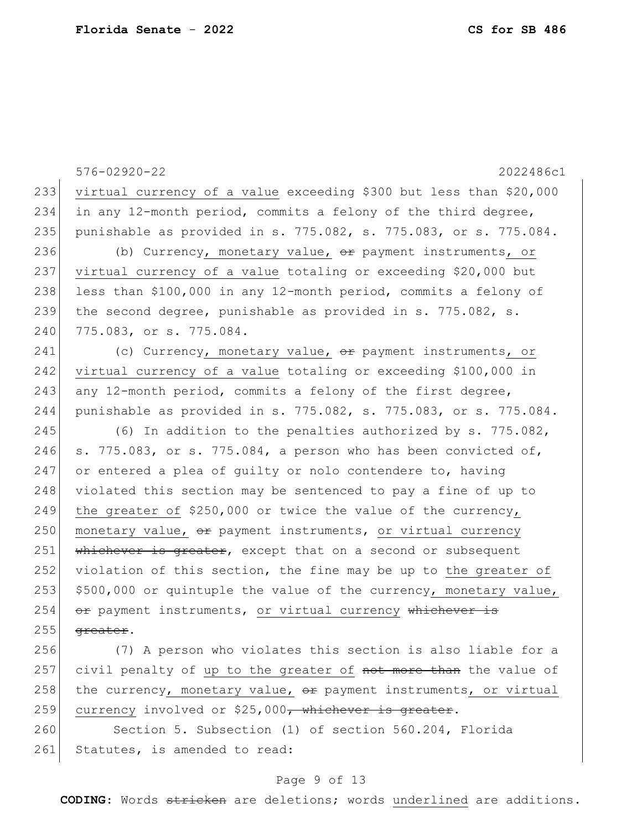576-02920-22 2022486c1 233 virtual currency of a value exceeding \$300 but less than \$20,000 234 in any 12-month period, commits a felony of the third degree, 235 punishable as provided in s. 775.082, s. 775.083, or s. 775.084. 236 (b) Currency, monetary value,  $\theta$  payment instruments, or 237 virtual currency of a value totaling or exceeding \$20,000 but 238 less than \$100,000 in any 12-month period, commits a felony of 239 the second degree, punishable as provided in s. 775.082, s. 240 775.083, or s. 775.084. 241 (c) Currency, monetary value,  $\theta$ re payment instruments, or 242 virtual currency of a value totaling or exceeding \$100,000 in 243 any 12-month period, commits a felony of the first degree, 244 punishable as provided in s. 775.082, s. 775.083, or s. 775.084. 245 (6) In addition to the penalties authorized by s. 775.082, 246 s. 775.083, or s. 775.084, a person who has been convicted of, 247 or entered a plea of guilty or nolo contendere to, having 248 violated this section may be sentenced to pay a fine of up to 249 the greater of \$250,000 or twice the value of the currency, 250 monetary value,  $\theta$  payment instruments, or virtual currency  $251$  whichever is greater, except that on a second or subsequent 252 violation of this section, the fine may be up to the greater of 253  $\frac{1}{253}$  \$500,000 or quintuple the value of the currency, monetary value, 254  $\sigma$  payment instruments, or virtual currency whichever is  $255$  greater. 256 (7) A person who violates this section is also liable for a  $257$  civil penalty of up to the greater of not more than the value of

258 the currency, monetary value,  $\theta$  payment instruments, or virtual 259 currency involved or  $$25,000$ , whichever is greater.

260 Section 5. Subsection (1) of section 560.204, Florida 261 Statutes, is amended to read:

## Page 9 of 13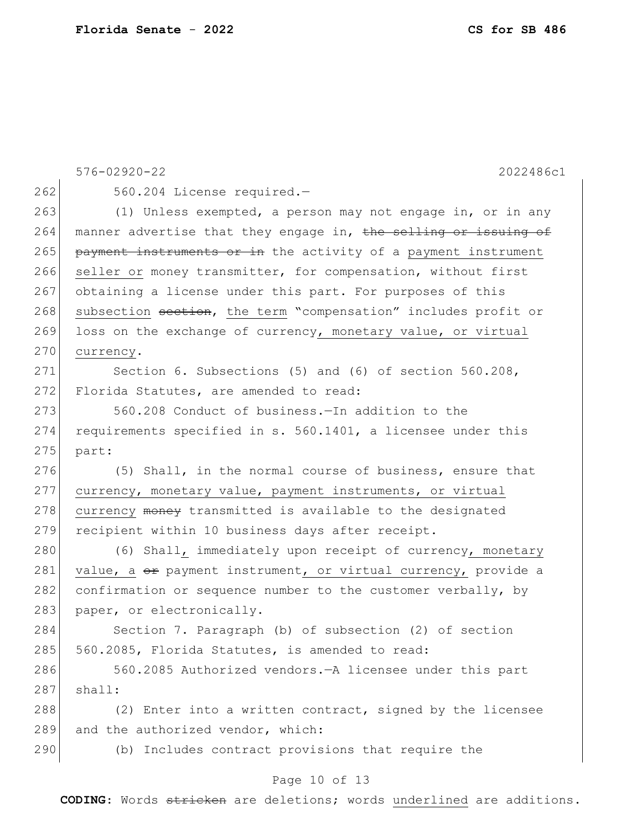576-02920-22 2022486c1  $262$  560.204 License required. 263 (1) Unless exempted, a person may not engage in, or in any 264 manner advertise that they engage in, the selling or issuing of 265 payment instruments or in the activity of a payment instrument 266 seller or money transmitter, for compensation, without first 267 obtaining a license under this part. For purposes of this 268 subsection section, the term "compensation" includes profit or 269 loss on the exchange of currency, monetary value, or virtual 270 currency. 271 Section 6. Subsections (5) and (6) of section 560.208, 272 Florida Statutes, are amended to read: 273 560.208 Conduct of business.—In addition to the 274 requirements specified in s. 560.1401, a licensee under this 275 part: 276 (5) Shall, in the normal course of business, ensure that 277 currency, monetary value, payment instruments, or virtual 278 currency money transmitted is available to the designated 279 recipient within 10 business days after receipt. 280 (6) Shall, immediately upon receipt of currency, monetary 281 value, a  $e$ r payment instrument, or virtual currency, provide a 282 confirmation or sequence number to the customer verbally, by 283 paper, or electronically. 284 Section 7. Paragraph (b) of subsection (2) of section 285 560.2085, Florida Statutes, is amended to read: 286 560.2085 Authorized vendors.—A licensee under this part 287 shall: 288 (2) Enter into a written contract, signed by the licensee 289 and the authorized vendor, which: 290 (b) Includes contract provisions that require the

## Page 10 of 13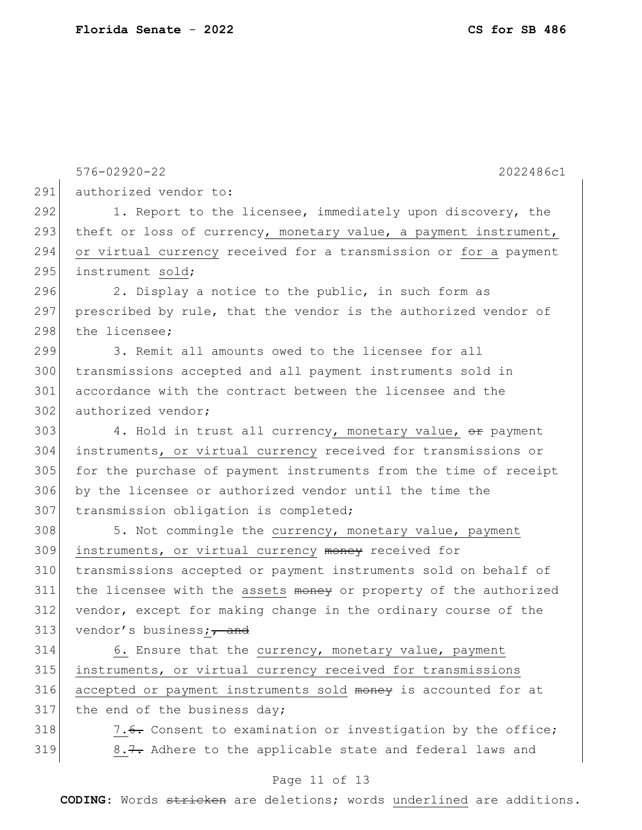576-02920-22 2022486c1 291 authorized vendor to: 292 1. Report to the licensee, immediately upon discovery, the 293 theft or loss of currency, monetary value, a payment instrument, 294 or virtual currency received for a transmission or for a payment 295 instrument sold; 296 2. Display a notice to the public, in such form as  $297$  prescribed by rule, that the vendor is the authorized vendor of 298 the licensee: 299 3. Remit all amounts owed to the licensee for all 300 transmissions accepted and all payment instruments sold in 301 accordance with the contract between the licensee and the 302 authorized vendor; 303 4. Hold in trust all currency, monetary value, or payment 304 instruments, or virtual currency received for transmissions or 305 for the purchase of payment instruments from the time of receipt 306 by the licensee or authorized vendor until the time the 307 transmission obligation is completed; 308 5. Not commingle the currency, monetary value, payment 309 instruments, or virtual currency money received for 310 transmissions accepted or payment instruments sold on behalf of 311 the licensee with the assets money or property of the authorized 312 vendor, except for making change in the ordinary course of the 313 vendor's business; and 314 6. Ensure that the currency, monetary value, payment 315 instruments, or virtual currency received for transmissions 316 accepted or payment instruments sold money is accounted for at 317 the end of the business day; 318  $\vert$  7.<del>6.</del> Consent to examination or investigation by the office;  $319$  8.7. Adhere to the applicable state and federal laws and

#### Page 11 of 13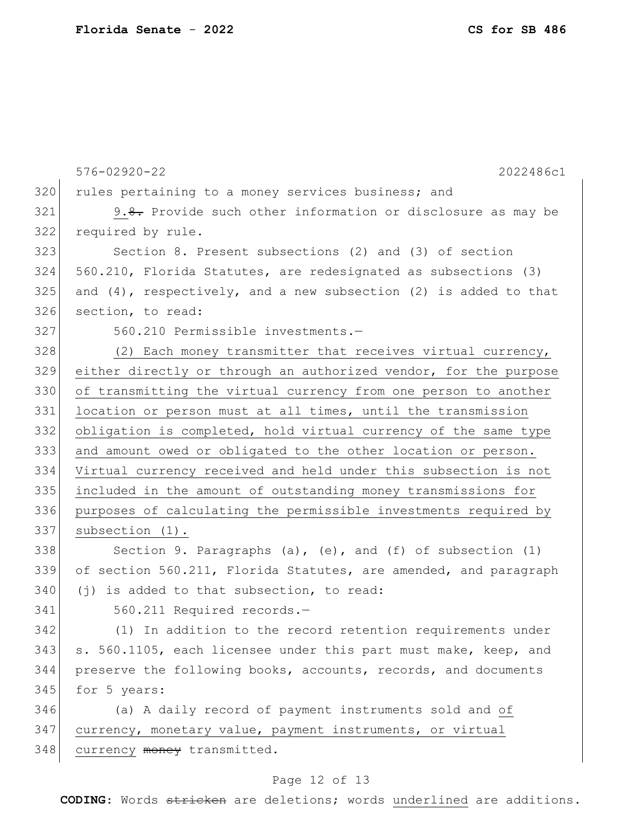576-02920-22 2022486c1 320 rules pertaining to a money services business; and  $321$  9.8. Provide such other information or disclosure as may be 322 required by rule. 323 Section 8. Present subsections (2) and (3) of section 324 560.210, Florida Statutes, are redesignated as subsections (3)  $325$  and (4), respectively, and a new subsection (2) is added to that 326 section, to read: 327 560.210 Permissible investments.—  $328$  (2) Each money transmitter that receives virtual currency, 329 either directly or through an authorized vendor, for the purpose 330 of transmitting the virtual currency from one person to another 331 location or person must at all times, until the transmission 332 obligation is completed, hold virtual currency of the same type 333 and amount owed or obligated to the other location or person. 334 Virtual currency received and held under this subsection is not 335 included in the amount of outstanding money transmissions for 336 purposes of calculating the permissible investments required by 337 | subsection (1). 338 Section 9. Paragraphs (a), (e), and (f) of subsection  $(1)$ 339 of section 560.211, Florida Statutes, are amended, and paragraph  $340$  (i) is added to that subsection, to read: 341 560.211 Required records.-342 (1) In addition to the record retention requirements under 343 s. 560.1105, each licensee under this part must make, keep, and 344 preserve the following books, accounts, records, and documents 345 for 5 years: 346 (a) A daily record of payment instruments sold and of 347 currency, monetary value, payment instruments, or virtual 348 currency money transmitted.

#### Page 12 of 13